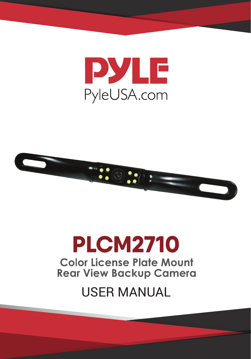



# **PLCM2710 Color License Plate Mount Rear View Backup Camera**

## **USER MANUAL**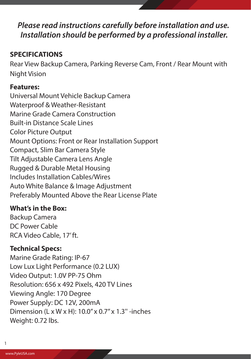### *Please read instructions carefully before installation and use. Installation should be performed by a professional installer.*

#### **SPECIFICATIONS**

Rear View Backup Camera, Parking Reverse Cam, Front / Rear Mount with Night Vision

#### **Features:**

Universal Mount Vehicle Backup Camera Waterproof & Weather-Resistant Marine Grade Camera Construction Built-in Distance Scale Lines Color Picture Output Mount Options: Front or Rear Installation Support Compact, Slim Bar Camera Style Tilt Adjustable Camera Lens Angle Rugged & Durable Metal Housing Includes Installation Cables/Wires Auto White Balance & Image Adjustment Preferably Mounted Above the Rear License Plate

#### **What's in the Box:**

Backup Camera DC Power Cable RCA Video Cable, 17' ft.

#### **Technical Specs:**

Marine Grade Rating: IP-67 Low Lux Light Performance (0.2 LUX) Video Output: 1.0V PP-75 Ohm Resolution: 656 x 492 Pixels, 420 TV Lines Viewing Angle: 170 Degree Power Supply: DC 12V, 200mA Dimension (L x W x H): 10.0" x 0.7" x 1.3" -inches Weight: 0.72 lbs.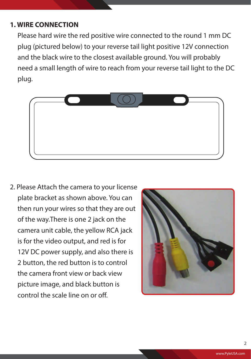#### **1. WIRE CONNECTION**

 Please hard wire the red positive wire connected to the round 1 mm DC plug (pictured below) to your reverse tail light positive 12V connection and the black wire to the closest available ground. You will probably need a small length of wire to reach from your reverse tail light to the DC plug.



2. Please Attach the camera to your license plate bracket as shown above. You can then run your wires so that they are out of the way.There is one 2 jack on the camera unit cable, the yellow RCA jack is for the video output, and red is for 12V DC power supply, and also there is 2 button, the red button is to control the camera front view or back view picture image, and black button is control the scale line on or off.